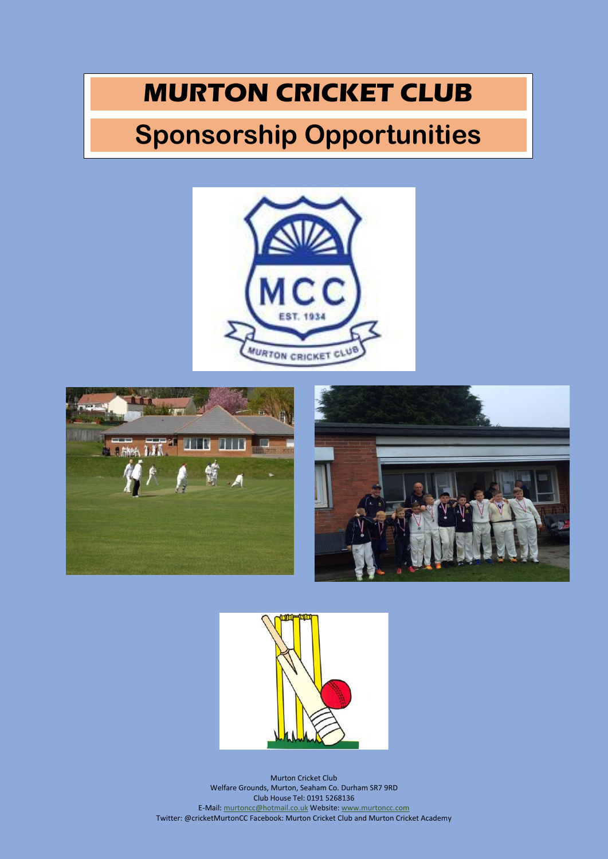## **MURTON CRICKET CLUB**

## **Sponsorship Opportunities**







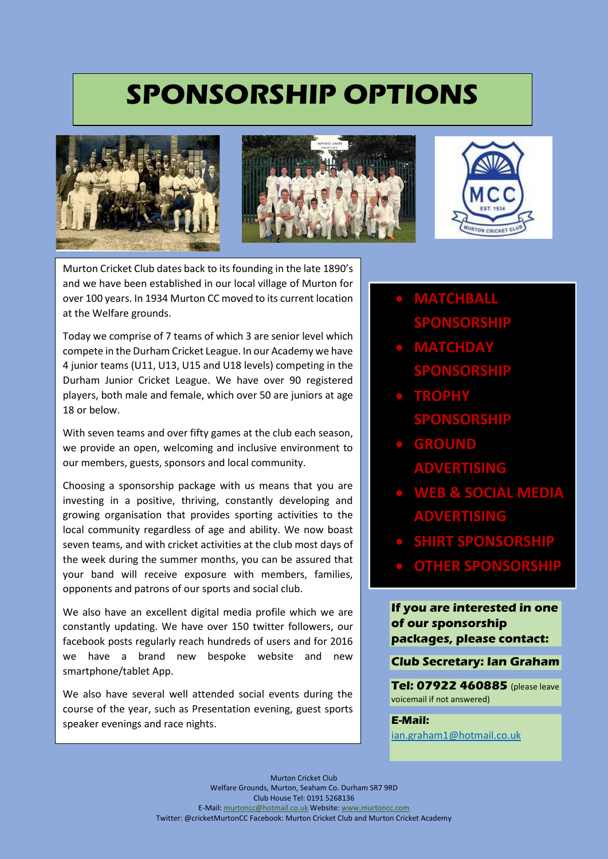## **SPONSORSHIP OPTIONS**







Murton Cricket Club dates back to its founding in the late 1890's and we have been established in our local village of Murton for over 100 years. In 1934 Murton CC moved to its current location at the Welfare grounds.

Today we comprise of 7 teams of which 3 are senior level which compete in the Durham Cricket League. In our Academy we have 4 junior teams (U11, U13, U15 and U18 levels) competing in the Durham Junior Cricket League. We have over 90 registered players, both male and female, which over 50 are juniors at age 18 or below.

With seven teams and over fifty games at the club each season, we provide an open, welcoming and inclusive environment to our members, guests, sponsors and local community.

Choosing a sponsorship package with us means that you are investing in a positive, thriving, constantly developing and growing organisation that provides sporting activities to the local community regardless of age and ability. We now boast seven teams, and with cricket activities at the club most days of the week during the summer months, you can be assured that your band will receive exposure with members, families, opponents and patrons of our sports and social club.

We also have an excellent digital media profile which we are constantly updating. We have over 150 twitter followers, our facebook posts regularly reach hundreds of users and for 2016 we have a brand new bespoke website and new smartphone/tablet App.

We also have several well attended social events during the course of the year, such as Presentation evening, guest sports speaker evenings and race nights.

- **MATCHBALL SPONSORSHIP**
- **MATCHDAY SPONSORSHIP**
- **TROPHY SPONSORSHIP**
- **GROUND ADVERTISING**
- **WEB & SOCIAL MEDIA ADVERTISING**
- **SHIRT SPONSORSHIP**
- **OTHER SPONSORSHIP**

**If you are interested in one of our sponsorship packages, please contact:**

### **Club Secretary: Ian Graham**

**Tel: 07922 460885** (please leave voicemail if not answered)

### **E-Mail:**

[ian.graham1@hotmail.co.uk](mailto:ian.graham1@hotmail.co.uk)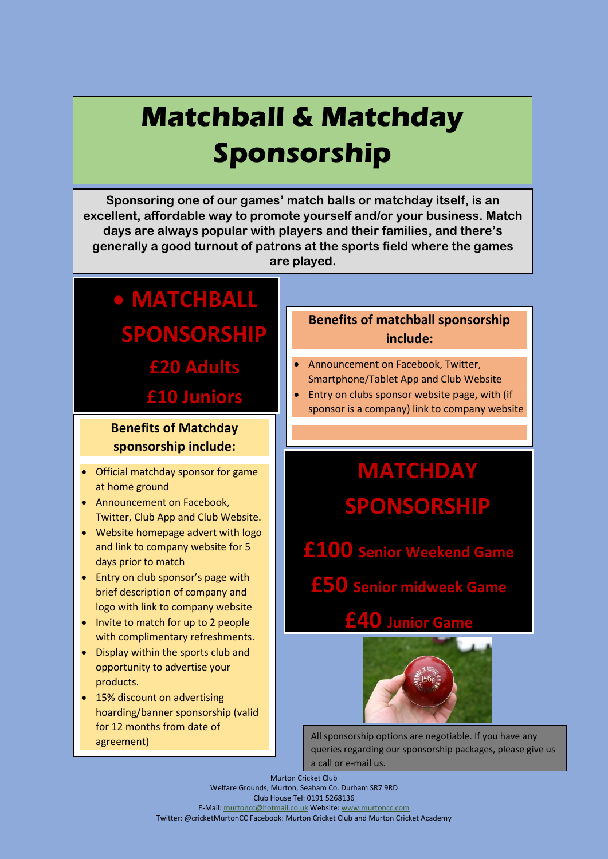## **Matchball & Matchday Sponsorship**

**Sponsoring one of our games' match balls or matchday itself, is an excellent, affordable way to promote yourself and/or your business. Match days are always popular with players and their families, and there's generally a good turnout of patrons at the sports field where the games are played.**

## **MATCHBALL SPONSORSHIP £20 Adults**

**£10 Juniors**

### **Benefits of Matchday sponsorship include:**

- Official matchday sponsor for game at home ground
- Announcement on Facebook. Twitter, Club App and Club Website.
- Website homepage advert with logo and link to company website for 5 days prior to match
- Entry on club sponsor's page with brief description of company and logo with link to company website
- Invite to match for up to 2 people with complimentary refreshments.
- Display within the sports club and opportunity to advertise your products.
- 15% discount on advertising hoarding/banner sponsorship (valid for 12 months from date of

### **Benefits of matchball sponsorship include:**

- Announcement on Facebook, Twitter, Smartphone/Tablet App and Club Website
- Entry on clubs sponsor website page, with (if sponsor is a company) link to company website

## **MATCHDAY SPONSORSHIP**

**£100 Senior Weekend Game**

**£50 Senior midweek Game**

**£40 Junior Game**



agreement) and a latter that the contract of the All sponsorship options are negotiable. If you have any queries regarding our sponsorship packages, please give us a call or e-mail us.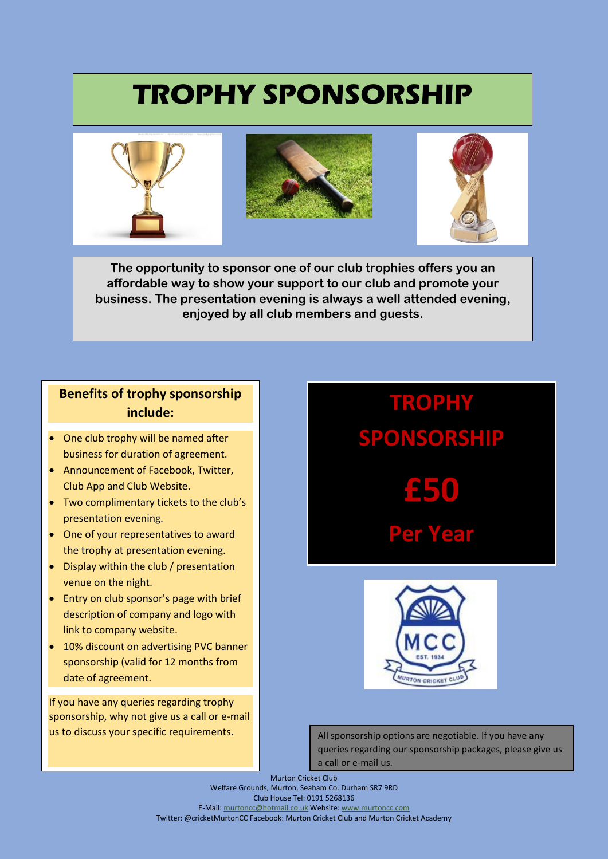## **TROPHY SPONSORSHIP**



**The opportunity to sponsor one of our club trophies offers you an affordable way to show your support to our club and promote your business. The presentation evening is always a well attended evening, enjoyed by all club members and guests.**

### **Benefits of trophy sponsorship include:**

- One club trophy will be named after business for duration of agreement.
- Announcement of Facebook, Twitter, Club App and Club Website.
- Two complimentary tickets to the club's presentation evening.
- One of your representatives to award the trophy at presentation evening.
- Display within the club / presentation venue on the night.
- Entry on club sponsor's page with brief description of company and logo with link to company website.
- 10% discount on advertising PVC banner sponsorship (valid for 12 months from date of agreement.

If you have any queries regarding trophy sponsorship, why not give us a call or e-mail us to discuss your specific requirements**.**

## **TROPHY SPONSORSHIP £50 Per Year**



All sponsorship options are negotiable. If you have any queries regarding our sponsorship packages, please give us a call or e-mail us.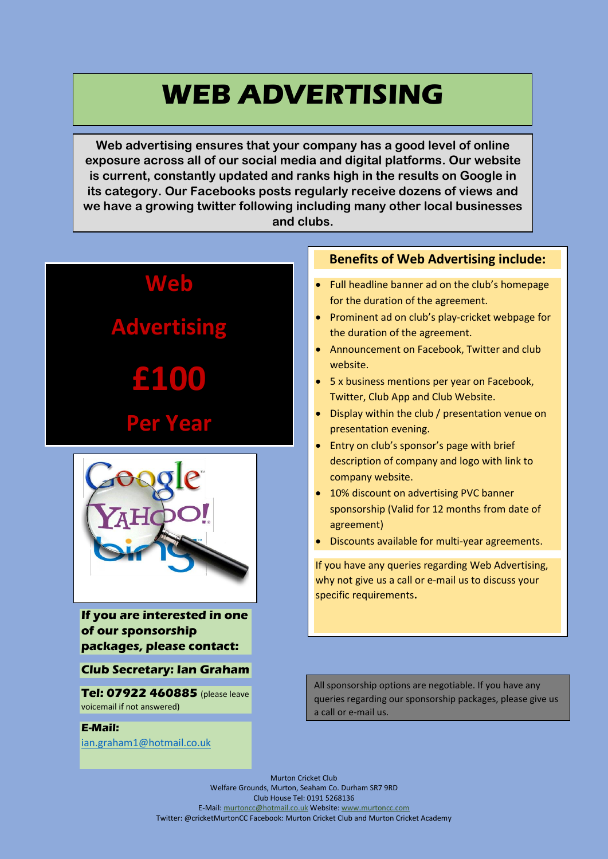## **WEB ADVERTISING**

**Web advertising ensures that your company has a good level of online exposure across all of our social media and digital platforms. Our website is current, constantly updated and ranks high in the results on Google in its category. Our Facebooks posts regularly receive dozens of views and we have a growing twitter following including many other local businesses and clubs.**



**If you are interested in one of our sponsorship packages, please contact:**

### **Club Secretary: Ian Graham**

**Tel: 07922 460885** (please leave voicemail if not answered)

#### **E-Mail:**

[ian.graham1@hotmail.co.uk](mailto:ian.graham1@hotmail.co.uk)

### **Benefits of Web Advertising include:**

- Full headline banner ad on the club's homepage for the duration of the agreement.
- Prominent ad on club's play-cricket webpage for the duration of the agreement.
- Announcement on Facebook, Twitter and club website.
- 5 x business mentions per year on Facebook, Twitter, Club App and Club Website.
- Display within the club / presentation venue on presentation evening.
- Entry on club's sponsor's page with brief description of company and logo with link to company website.
- 10% discount on advertising PVC banner sponsorship (Valid for 12 months from date of agreement)
- Discounts available for multi-year agreements.

If you have any queries regarding Web Advertising, why not give us a call or e-mail us to discuss your specific requirements**.**

All sponsorship options are negotiable. If you have any queries regarding our sponsorship packages, please give us a call or e-mail us.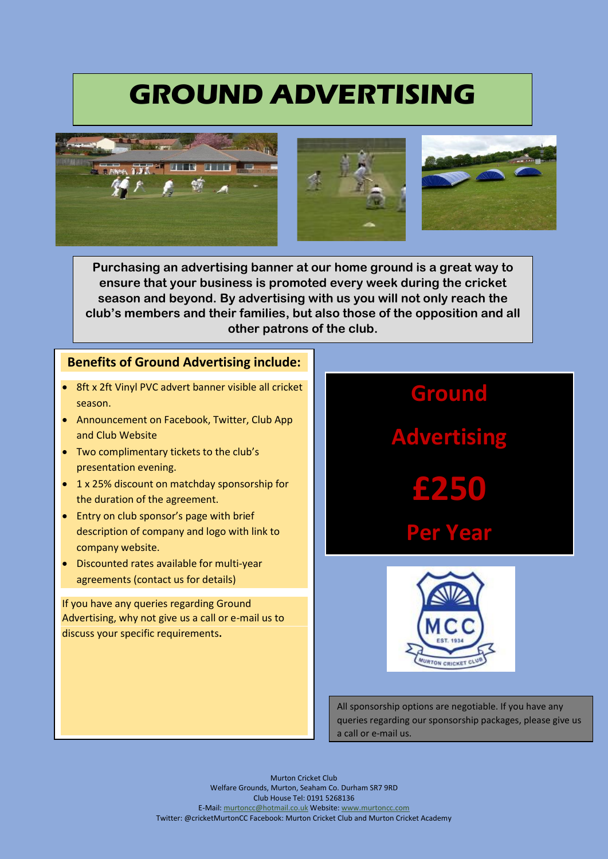## **GROUND ADVERTISING**







**Purchasing an advertising banner at our home ground is a great way to ensure that your business is promoted every week during the cricket season and beyond. By advertising with us you will not only reach the club's members and their families, but also those of the opposition and all other patrons of the club.**

### **Benefits of Ground Advertising include:**

- 8ft x 2ft Vinyl PVC advert banner visible all cricket season.
- Announcement on Facebook, Twitter, Club App and Club Website
- Two complimentary tickets to the club's presentation evening.
- 1 x 25% discount on matchday sponsorship for the duration of the agreement.
- Entry on club sponsor's page with brief description of company and logo with link to company website.
- Discounted rates available for multi-year agreements (contact us for details)

If you have any queries regarding Ground Advertising, why not give us a call or e-mail us to discuss your specific requirements**.**

# **Ground Advertising £250 Per Year**

All sponsorship options are negotiable. If you have any queries regarding our sponsorship packages, please give us a call or e-mail us.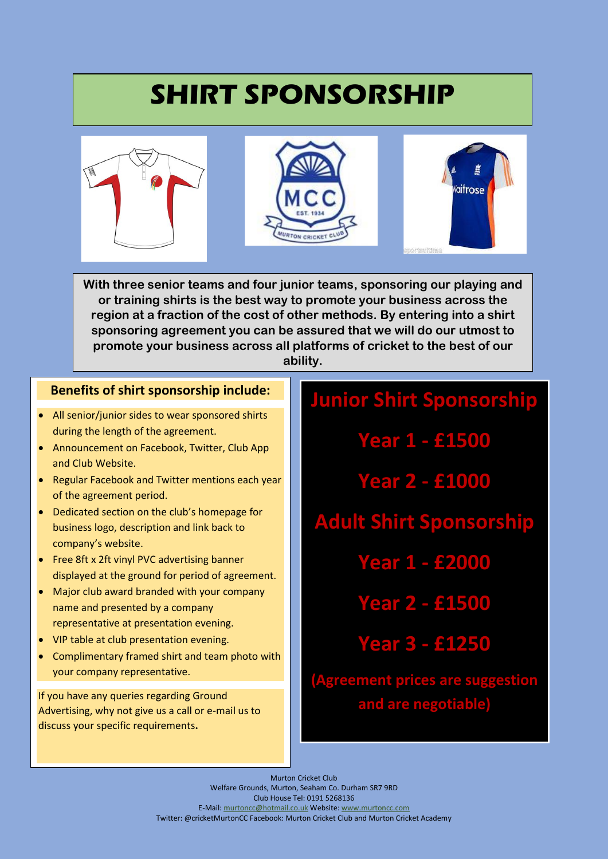## **SHIRT SPONSORSHIP**



**With three senior teams and four junior teams, sponsoring our playing and or training shirts is the best way to promote your business across the region at a fraction of the cost of other methods. By entering into a shirt sponsoring agreement you can be assured that we will do our utmost to promote your business across all platforms of cricket to the best of our ability.**

### **Benefits of shirt sponsorship include:**

- All senior/junior sides to wear sponsored shirts during the length of the agreement.
- Announcement on Facebook, Twitter, Club App and Club Website.
- Regular Facebook and Twitter mentions each year of the agreement period.
- Dedicated section on the club's homepage for business logo, description and link back to company's website.
- Free 8ft x 2ft vinyl PVC advertising banner displayed at the ground for period of agreement.
- Major club award branded with your company name and presented by a company representative at presentation evening.
- VIP table at club presentation evening.
- Complimentary framed shirt and team photo with your company representative.

If you have any queries regarding Ground Advertising, why not give us a call or e-mail us to discuss your specific requirements**.**

## **Junior Shirt Sponsorship**

**Year 1 - £1500**

**Year 2 - £1000**

**Adult Shirt Sponsorship**

**Year 1 - £2000**

**Year 2 - £1500**

**Year 3 - £1250**

**(Agreement prices are suggestion and are negotiable)**